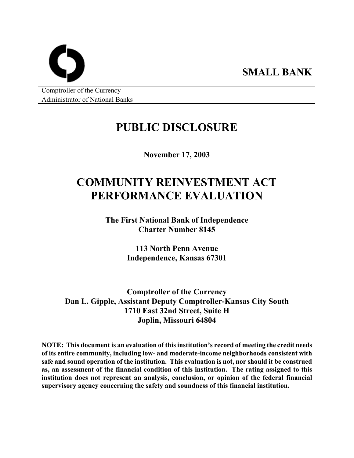Comptroller of the Currency Administrator of National Banks

# **PUBLIC DISCLOSURE**

**SMALL BANK** 

**November 17, 2003** 

# **COMMUNITY REINVESTMENT ACT PERFORMANCE EVALUATION**

**The First National Bank of Independence Charter Number 8145** 

> **113 North Penn Avenue Independence, Kansas 67301**

**Comptroller of the Currency Dan L. Gipple, Assistant Deputy Comptroller-Kansas City South 1710 East 32nd Street, Suite H Joplin, Missouri 64804** 

**NOTE: This document is an evaluation of this institution's record of meeting the credit needs of its entire community, including low- and moderate-income neighborhoods consistent with safe and sound operation of the institution. This evaluation is not, nor should it be construed as, an assessment of the financial condition of this institution. The rating assigned to this institution does not represent an analysis, conclusion, or opinion of the federal financial supervisory agency concerning the safety and soundness of this financial institution.**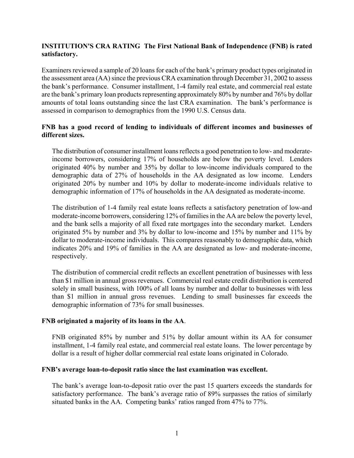# **INSTITUTION'S CRA RATING The First National Bank of Independence (FNB) is rated satisfactory.**

Examiners reviewed a sample of 20 loans for each of the bank's primary product types originated in the assessment area (AA) since the previous CRA examination through December 31, 2002 to assess the bank's performance. Consumer installment, 1-4 family real estate, and commercial real estate are the bank's primary loan products representing approximately 80% by number and 76% by dollar amounts of total loans outstanding since the last CRA examination. The bank's performance is assessed in comparison to demographics from the 1990 U.S. Census data.

## **FNB has a good record of lending to individuals of different incomes and businesses of different sizes.**

The distribution of consumer installment loans reflects a good penetration to low- and moderateincome borrowers, considering 17% of households are below the poverty level. Lenders originated 40% by number and 35% by dollar to low-income individuals compared to the demographic data of 27% of households in the AA designated as low income. Lenders originated 20% by number and 10% by dollar to moderate-income individuals relative to demographic information of 17% of households in the AA designated as moderate-income.

The distribution of 1-4 family real estate loans reflects a satisfactory penetration of low-and moderate-income borrowers, considering 12% of families in the AA are below the poverty level, and the bank sells a majority of all fixed rate mortgages into the secondary market. Lenders originated 5% by number and 3% by dollar to low-income and 15% by number and 11% by dollar to moderate-income individuals. This compares reasonably to demographic data, which indicates 20% and 19% of families in the AA are designated as low- and moderate-income, respectively.

The distribution of commercial credit reflects an excellent penetration of businesses with less than \$1 million in annual gross revenues. Commercial real estate credit distribution is centered solely in small business, with 100% of all loans by number and dollar to businesses with less than \$1 million in annual gross revenues. Lending to small businesses far exceeds the demographic information of 73% for small businesses.

#### **FNB originated a majority of its loans in the AA**.

FNB originated 85% by number and 51% by dollar amount within its AA for consumer installment, 1-4 family real estate, and commercial real estate loans. The lower percentage by dollar is a result of higher dollar commercial real estate loans originated in Colorado.

#### **FNB's average loan-to-deposit ratio since the last examination was excellent.**

The bank's average loan-to-deposit ratio over the past 15 quarters exceeds the standards for satisfactory performance. The bank's average ratio of 89% surpasses the ratios of similarly situated banks in the AA. Competing banks' ratios ranged from 47% to 77%.